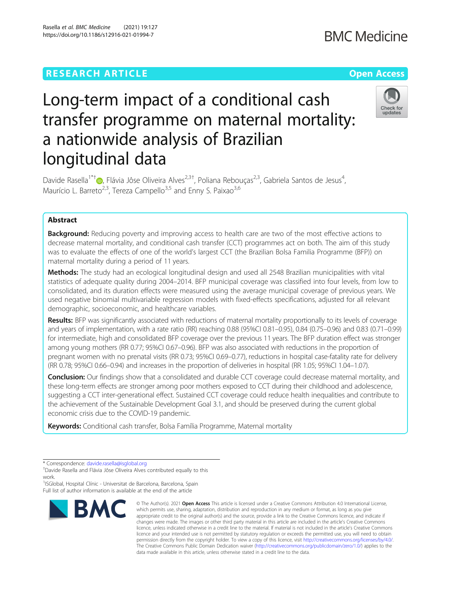Rasella et al. BMC Medicine (2021) 19:127 https://doi.org/10.1186/s12916-021-01994-7

# Check for updates

# Long-term impact of a conditional cash transfer programme on maternal mortality: a nationwide analysis of Brazilian longitudinal data

Davide Rasella<sup>1\*†</sup> D[,](http://orcid.org/0000-0002-7260-4386) Flávia Jôse Oliveira Alves<sup>2,3†</sup>, Poliana Rebouças<sup>2,3</sup>, Gabriela Santos de Jesus<sup>4</sup> , Maurício L. Barreto<sup>2,3</sup>, Tereza Campello<sup>3,5</sup> and Enny S. Paixao<sup>3,6</sup>

## Abstract

**Background:** Reducing poverty and improving access to health care are two of the most effective actions to decrease maternal mortality, and conditional cash transfer (CCT) programmes act on both. The aim of this study was to evaluate the effects of one of the world's largest CCT (the Brazilian Bolsa Familia Programme (BFP)) on maternal mortality during a period of 11 years.

Methods: The study had an ecological longitudinal design and used all 2548 Brazilian municipalities with vital statistics of adequate quality during 2004–2014. BFP municipal coverage was classified into four levels, from low to consolidated, and its duration effects were measured using the average municipal coverage of previous years. We used negative binomial multivariable regression models with fixed-effects specifications, adjusted for all relevant demographic, socioeconomic, and healthcare variables.

Results: BFP was significantly associated with reductions of maternal mortality proportionally to its levels of coverage and years of implementation, with a rate ratio (RR) reaching 0.88 (95%CI 0.81–0.95), 0.84 (0.75–0.96) and 0.83 (0.71–0.99) for intermediate, high and consolidated BFP coverage over the previous 11 years. The BFP duration effect was stronger among young mothers (RR 0.77; 95%CI 0.67–0.96). BFP was also associated with reductions in the proportion of pregnant women with no prenatal visits (RR 0.73; 95%CI 0.69–0.77), reductions in hospital case-fatality rate for delivery (RR 0.78; 95%CI 0.66–0.94) and increases in the proportion of deliveries in hospital (RR 1.05; 95%CI 1.04–1.07).

**Conclusion:** Our findings show that a consolidated and durable CCT coverage could decrease maternal mortality, and these long-term effects are stronger among poor mothers exposed to CCT during their childhood and adolescence, suggesting a CCT inter-generational effect. Sustained CCT coverage could reduce health inequalities and contribute to the achievement of the Sustainable Development Goal 3.1, and should be preserved during the current global economic crisis due to the COVID-19 pandemic.

Keywords: Conditional cash transfer, Bolsa Família Programme, Maternal mortality

<sup>1</sup>ISGlobal, Hospital Clínic - Universitat de Barcelona, Barcelona, Spain Full list of author information is available at the end of the article



<sup>©</sup> The Author(s), 2021 **Open Access** This article is licensed under a Creative Commons Attribution 4.0 International License, which permits use, sharing, adaptation, distribution and reproduction in any medium or format, as long as you give appropriate credit to the original author(s) and the source, provide a link to the Creative Commons licence, and indicate if changes were made. The images or other third party material in this article are included in the article's Creative Commons licence, unless indicated otherwise in a credit line to the material. If material is not included in the article's Creative Commons licence and your intended use is not permitted by statutory regulation or exceeds the permitted use, you will need to obtain permission directly from the copyright holder. To view a copy of this licence, visit [http://creativecommons.org/licenses/by/4.0/.](http://creativecommons.org/licenses/by/4.0/) The Creative Commons Public Domain Dedication waiver [\(http://creativecommons.org/publicdomain/zero/1.0/](http://creativecommons.org/publicdomain/zero/1.0/)) applies to the data made available in this article, unless otherwise stated in a credit line to the data.

<sup>\*</sup> Correspondence: [davide.rasella@isglobal.org](mailto:davide.rasella@isglobal.org) †

Davide Rasella and Flávia Jôse Oliveira Alves contributed equally to this work.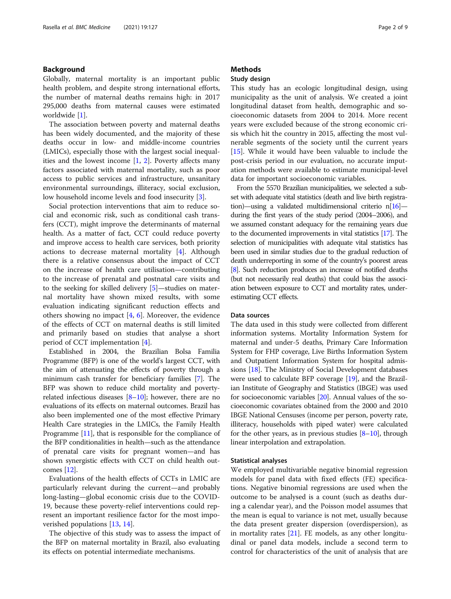## Background

Globally, maternal mortality is an important public health problem, and despite strong international efforts, the number of maternal deaths remains high: in 2017 295,000 deaths from maternal causes were estimated worldwide [\[1](#page-7-0)].

The association between poverty and maternal deaths has been widely documented, and the majority of these deaths occur in low- and middle-income countries (LMICs), especially those with the largest social inequalities and the lowest income  $[1, 2]$  $[1, 2]$  $[1, 2]$ . Poverty affects many factors associated with maternal mortality, such as poor access to public services and infrastructure, unsanitary environmental surroundings, illiteracy, social exclusion, low household income levels and food insecurity [\[3](#page-7-0)].

Social protection interventions that aim to reduce social and economic risk, such as conditional cash transfers (CCT), might improve the determinants of maternal health. As a matter of fact, CCT could reduce poverty and improve access to health care services, both priority actions to decrease maternal mortality [[4\]](#page-7-0). Although there is a relative consensus about the impact of CCT on the increase of health care utilisation—contributing to the increase of prenatal and postnatal care visits and to the seeking for skilled delivery [[5\]](#page-7-0)—studies on maternal mortality have shown mixed results, with some evaluation indicating significant reduction effects and others showing no impact [\[4](#page-7-0), [6](#page-7-0)]. Moreover, the evidence of the effects of CCT on maternal deaths is still limited and primarily based on studies that analyse a short period of CCT implementation [\[4](#page-7-0)].

Established in 2004, the Brazilian Bolsa Familia Programme (BFP) is one of the world's largest CCT, with the aim of attenuating the effects of poverty through a minimum cash transfer for beneficiary families [\[7\]](#page-7-0). The BFP was shown to reduce child mortality and povertyrelated infectious diseases  $[8-10]$  $[8-10]$  $[8-10]$  $[8-10]$ ; however, there are no evaluations of its effects on maternal outcomes. Brazil has also been implemented one of the most effective Primary Health Care strategies in the LMICs, the Family Health Programme [[11\]](#page-7-0), that is responsible for the compliance of the BFP conditionalities in health—such as the attendance of prenatal care visits for pregnant women—and has shown synergistic effects with CCT on child health outcomes [[12](#page-7-0)].

Evaluations of the health effects of CCTs in LMIC are particularly relevant during the current—and probably long-lasting—global economic crisis due to the COVID-19, because these poverty-relief interventions could represent an important resilience factor for the most impoverished populations [\[13](#page-7-0), [14](#page-7-0)].

The objective of this study was to assess the impact of the BFP on maternal mortality in Brazil, also evaluating its effects on potential intermediate mechanisms.

## **Methods**

## Study design

This study has an ecologic longitudinal design, using municipality as the unit of analysis. We created a joint longitudinal dataset from health, demographic and socioeconomic datasets from 2004 to 2014. More recent years were excluded because of the strong economic crisis which hit the country in 2015, affecting the most vulnerable segments of the society until the current years [[15\]](#page-7-0). While it would have been valuable to include the post-crisis period in our evaluation, no accurate imputation methods were available to estimate municipal-level data for important socioeconomic variables.

From the 5570 Brazilian municipalities, we selected a subset with adequate vital statistics (death and live birth registration)—using a validated multidimensional criterio n[\[16\]](#page-7-0) during the first years of the study period (2004–2006), and we assumed constant adequacy for the remaining years due to the documented improvements in vital statistics [\[17](#page-7-0)]. The selection of municipalities with adequate vital statistics has been used in similar studies due to the gradual reduction of death underreporting in some of the country's poorest areas [[8](#page-7-0)]. Such reduction produces an increase of notified deaths (but not necessarily real deaths) that could bias the association between exposure to CCT and mortality rates, underestimating CCT effects.

### Data sources

The data used in this study were collected from different information systems. Mortality Information System for maternal and under-5 deaths, Primary Care Information System for FHP coverage, Live Births Information System and Outpatient Information System for hospital admissions [\[18\]](#page-7-0). The Ministry of Social Development databases were used to calculate BFP coverage [[19](#page-7-0)], and the Brazilian Institute of Geography and Statistics (IBGE) was used for socioeconomic variables [\[20\]](#page-8-0). Annual values of the socioeconomic covariates obtained from the 2000 and 2010 IBGE National Censuses (income per person, poverty rate, illiteracy, households with piped water) were calculated for the other years, as in previous studies  $[8-10]$  $[8-10]$  $[8-10]$  $[8-10]$  $[8-10]$ , through linear interpolation and extrapolation.

#### Statistical analyses

We employed multivariable negative binomial regression models for panel data with fixed effects (FE) specifications. Negative binomial regressions are used when the outcome to be analysed is a count (such as deaths during a calendar year), and the Poisson model assumes that the mean is equal to variance is not met, usually because the data present greater dispersion (overdispersion), as in mortality rates [\[21](#page-8-0)]. FE models, as any other longitudinal or panel data models, include a second term to control for characteristics of the unit of analysis that are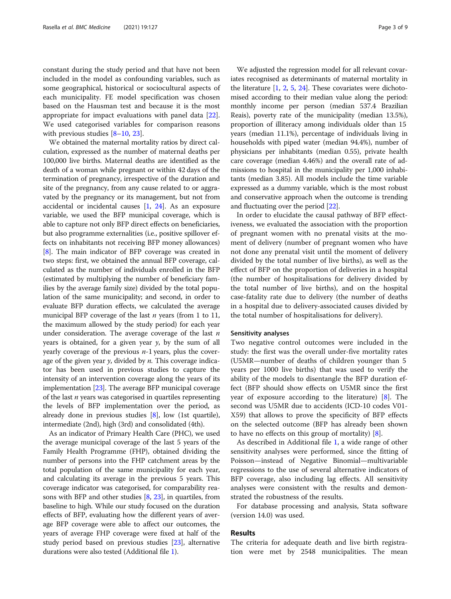constant during the study period and that have not been included in the model as confounding variables, such as some geographical, historical or sociocultural aspects of each municipality. FE model specification was chosen based on the Hausman test and because it is the most appropriate for impact evaluations with panel data [\[22](#page-8-0)]. We used categorised variables for comparison reasons with previous studies  $[8-10, 23]$  $[8-10, 23]$  $[8-10, 23]$  $[8-10, 23]$  $[8-10, 23]$ .

We obtained the maternal mortality ratios by direct calculation, expressed as the number of maternal deaths per 100,000 live births. Maternal deaths are identified as the death of a woman while pregnant or within 42 days of the termination of pregnancy, irrespective of the duration and site of the pregnancy, from any cause related to or aggravated by the pregnancy or its management, but not from accidental or incidental causes [[1,](#page-7-0) [24](#page-8-0)]. As an exposure variable, we used the BFP municipal coverage, which is able to capture not only BFP direct effects on beneficiaries, but also programme externalities (i.e., positive spillover effects on inhabitants not receiving BFP money allowances) [[8\]](#page-7-0). The main indicator of BFP coverage was created in two steps: first, we obtained the annual BFP coverage, calculated as the number of individuals enrolled in the BFP (estimated by multiplying the number of beneficiary families by the average family size) divided by the total population of the same municipality; and second, in order to evaluate BFP duration effects, we calculated the average municipal BFP coverage of the last *n* years (from 1 to 11, the maximum allowed by the study period) for each year under consideration. The average coverage of the last  $n$ years is obtained, for a given year y, by the sum of all yearly coverage of the previous  $n-1$  years, plus the coverage of the given year  $y$ , divided by  $n$ . This coverage indicator has been used in previous studies to capture the intensity of an intervention coverage along the years of its implementation [[23](#page-8-0)]. The average BFP municipal coverage of the last  $n$  years was categorised in quartiles representing the levels of BFP implementation over the period, as already done in previous studies [\[8](#page-7-0)], low (1st quartile), intermediate (2nd), high (3rd) and consolidated (4th).

As an indicator of Primary Health Care (PHC), we used the average municipal coverage of the last 5 years of the Family Health Programme (FHP), obtained dividing the number of persons into the FHP catchment areas by the total population of the same municipality for each year, and calculating its average in the previous 5 years. This coverage indicator was categorised, for comparability reasons with BFP and other studies  $[8, 23]$  $[8, 23]$  $[8, 23]$ , in quartiles, from baseline to high. While our study focused on the duration effects of BFP, evaluating how the different years of average BFP coverage were able to affect our outcomes, the years of average FHP coverage were fixed at half of the study period based on previous studies [\[23\]](#page-8-0), alternative durations were also tested (Additional file [1\)](#page-7-0).

We adjusted the regression model for all relevant covariates recognised as determinants of maternal mortality in the literature  $[1, 2, 5, 24]$  $[1, 2, 5, 24]$  $[1, 2, 5, 24]$  $[1, 2, 5, 24]$  $[1, 2, 5, 24]$  $[1, 2, 5, 24]$  $[1, 2, 5, 24]$  $[1, 2, 5, 24]$ . These covariates were dichotomised according to their median value along the period: monthly income per person (median 537.4 Brazilian Reais), poverty rate of the municipality (median 13.5%), proportion of illiteracy among individuals older than 15 years (median 11.1%), percentage of individuals living in households with piped water (median 94.4%), number of physicians per inhabitants (median 0.55), private health care coverage (median 4.46%) and the overall rate of admissions to hospital in the municipality per 1,000 inhabitants (median 3.85). All models include the time variable expressed as a dummy variable, which is the most robust and conservative approach when the outcome is trending and fluctuating over the period [\[22\]](#page-8-0).

In order to elucidate the causal pathway of BFP effectiveness, we evaluated the association with the proportion of pregnant women with no prenatal visits at the moment of delivery (number of pregnant women who have not done any prenatal visit until the moment of delivery divided by the total number of live births), as well as the effect of BFP on the proportion of deliveries in a hospital (the number of hospitalisations for delivery divided by the total number of live births), and on the hospital case-fatality rate due to delivery (the number of deaths in a hospital due to delivery-associated causes divided by the total number of hospitalisations for delivery).

#### Sensitivity analyses

Two negative control outcomes were included in the study: the first was the overall under-five mortality rates (U5MR—number of deaths of children younger than 5 years per 1000 live births) that was used to verify the ability of the models to disentangle the BFP duration effect (BFP should show effects on U5MR since the first year of exposure according to the literature) [[8\]](#page-7-0). The second was U5MR due to accidents (ICD-10 codes V01- X59) that allows to prove the specificity of BFP effects on the selected outcome (BFP has already been shown to have no effects on this group of mortality) [\[8](#page-7-0)].

As described in Additional file [1,](#page-7-0) a wide range of other sensitivity analyses were performed, since the fitting of Poisson—instead of Negative Binomial—multivariable regressions to the use of several alternative indicators of BFP coverage, also including lag effects. All sensitivity analyses were consistent with the results and demonstrated the robustness of the results.

For database processing and analysis, Stata software (version 14.0) was used.

## Results

The criteria for adequate death and live birth registration were met by 2548 municipalities. The mean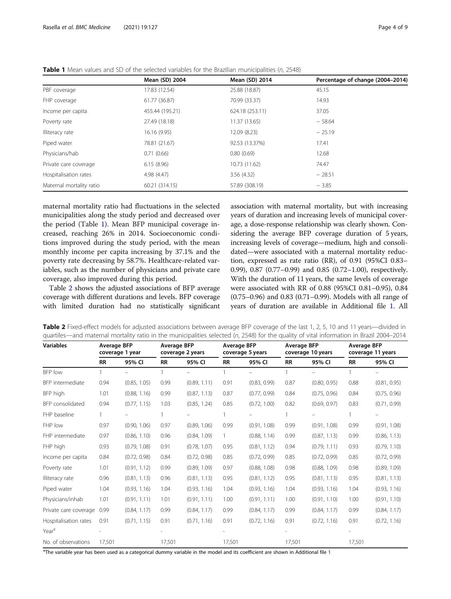|                          | Mean (SD) 2004  | Mean (SD) 2014  | Percentage of change (2004-2014) |
|--------------------------|-----------------|-----------------|----------------------------------|
| PBF coverage             | 17.83 (12.54)   | 25.88 (18.87)   | 45.15                            |
| FHP coverage             | 61.77 (36.87)   | 70.99 (33.37)   | 14.93                            |
| Income per capita        | 455.44 (195.21) | 624.18 (253.11) | 37.05                            |
| Poverty rate             | 27.49 (18.18)   | 11.37 (13.65)   | $-58.64$                         |
| Illiteracy rate          | 16.16 (9.95)    | 12.09 (8.23)    | $-25.19$                         |
| Piped water              | 78.81 (21.67)   | 92.53 (13.37%)  | 17.41                            |
| Physicians/hab           | 0.71(0.66)      | 0.80(0.69)      | 12.68                            |
| Private care coverage    | 6.15(8.96)      | 10.73 (11.62)   | 74.47                            |
| Hospitalisation rates    | 4.98(4.47)      | 3.56(4.32)      | $-28.51$                         |
| Maternal mortality ratio | 60.21 (314.15)  | 57.89 (308.19)  | $-3.85$                          |

<span id="page-3-0"></span>Table 1 Mean values and SD of the selected variables for the Brazilian municipalities (n, 2548)

maternal mortality ratio had fluctuations in the selected municipalities along the study period and decreased over the period (Table 1). Mean BFP municipal coverage increased, reaching 26% in 2014. Socioeconomic conditions improved during the study period, with the mean monthly income per capita increasing by 37.1% and the poverty rate decreasing by 58.7%. Healthcare-related variables, such as the number of physicians and private care coverage, also improved during this period.

Table 2 shows the adjusted associations of BFP average coverage with different durations and levels. BFP coverage with limited duration had no statistically significant association with maternal mortality, but with increasing years of duration and increasing levels of municipal coverage, a dose-response relationship was clearly shown. Considering the average BFP coverage duration of 5 years, increasing levels of coverage—medium, high and consolidated—were associated with a maternal mortality reduction, expressed as rate ratio (RR), of 0.91 (95%CI 0.83– 0.99), 0.87 (0.77–0.99) and 0.85 (0.72–1.00), respectively. With the duration of 11 years, the same levels of coverage were associated with RR of 0.88 (95%CI 0.81–0.95), 0.84 (0.75–0.96) and 0.83 (0.71–0.99). Models with all range of years of duration are available in Additional file [1.](#page-7-0) All

| <b>Variables</b>      | <b>Average BFP</b><br>coverage 1 year |              | <b>Average BFP</b><br>coverage 2 years |              | <b>Average BFP</b><br>coverage 5 years |              | Average BFP<br>coverage 10 years |              | <b>Average BFP</b><br>coverage 11 years |              |
|-----------------------|---------------------------------------|--------------|----------------------------------------|--------------|----------------------------------------|--------------|----------------------------------|--------------|-----------------------------------------|--------------|
|                       | <b>RR</b>                             | 95% CI       | <b>RR</b>                              | 95% CI       | <b>RR</b>                              | 95% CI       | <b>RR</b>                        | 95% CI       | <b>RR</b>                               | 95% CI       |
| BFP low               |                                       |              |                                        |              |                                        |              |                                  |              |                                         |              |
| BFP intermediate      | 0.94                                  | (0.85, 1.05) | 0.99                                   | (0.89, 1.11) | 0.91                                   | (0.83, 0.99) | 0.87                             | (0.80, 0.95) | 0.88                                    | (0.81, 0.95) |
| BFP high              | 1.01                                  | (0.88, 1.16) | 0.99                                   | (0.87, 1.13) | 0.87                                   | (0.77, 0.99) | 0.84                             | (0.75, 0.96) | 0.84                                    | (0.75, 0.96) |
| BFP consolidated      | 0.94                                  | (0.77, 1.15) | 1.03                                   | (0.85, 1.24) | 0.85                                   | (0.72, 1.00) | 0.82                             | (0.69, 0.97) | 0.83                                    | (0.71, 0.99) |
| FHP baseline          |                                       |              |                                        |              |                                        |              |                                  |              |                                         |              |
| FHP low               | 0.97                                  | (0.90, 1.06) | 0.97                                   | (0.89, 1.06) | 0.99                                   | (0.91, 1.08) | 0.99                             | (0.91, 1.08) | 0.99                                    | (0.91, 1.08) |
| FHP intermediate      | 0.97                                  | (0.86, 1.10) | 0.96                                   | (0.84, 1.09) | $\mathbf{1}$                           | (0.88, 1.14) | 0.99                             | (0.87, 1.13) | 0.99                                    | (0.86, 1.13) |
| FHP high              | 0.93                                  | (0.79, 1.08) | 0.91                                   | (0.78, 1.07) | 0.95                                   | (0.81, 1.12) | 0.94                             | (0.79, 1.11) | 0.93                                    | (0.79, 1.10) |
| Income per capita     | 0.84                                  | (0.72, 0.98) | 0.84                                   | (0.72, 0.98) | 0.85                                   | (0.72, 0.99) | 0.85                             | (0.72, 0.99) | 0.85                                    | (0.72, 0.99) |
| Poverty rate          | 1.01                                  | (0.91, 1.12) | 0.99                                   | (0.89, 1.09) | 0.97                                   | (0.88, 1.08) | 0.98                             | (0.88, 1.09) | 0.98                                    | (0.89, 1.09) |
| Illiteracy rate       | 0.96                                  | (0.81, 1.13) | 0.96                                   | (0.81, 1.13) | 0.95                                   | (0.81, 1.12) | 0.95                             | (0.81, 1.13) | 0.95                                    | (0.81, 1.13) |
| Piped water           | 1.04                                  | (0.93, 1.16) | 1.04                                   | (0.93, 1.16) | 1.04                                   | (0.93, 1.16) | 1.04                             | (0.93, 1.16) | 1.04                                    | (0.93, 1.16) |
| Physicians/inhab      | 1.01                                  | (0.91, 1.11) | 1.01                                   | (0.91, 1.11) | 1.00                                   | (0.91, 1.11) | 1.00                             | (0.91, 1.10) | 1.00                                    | (0.91, 1.10) |
| Private care coverage | 0.99                                  | (0.84, 1.17) | 0.99                                   | (0.84, 1.17) | 0.99                                   | (0.84, 1.17) | 0.99                             | (0.84, 1.17) | 0.99                                    | (0.84, 1.17) |
| Hospitalisation rates | 0.91                                  | (0.71, 1.15) | 0.91                                   | (0.71, 1.16) | 0.91                                   | (0.72, 1.16) | 0.91                             | (0.72, 1.16) | 0.91                                    | (0.72, 1.16) |
| Year <sup>a</sup>     |                                       |              |                                        |              |                                        |              |                                  |              |                                         |              |
| No. of observations   | 17,501                                |              | 17,501                                 |              | 17,501                                 |              | 17,501                           |              | 17,501                                  |              |

Table 2 Fixed-effect models for adjusted associations between average BFP coverage of the last 1, 2, 5, 10 and 11 years—divided in quartiles—and maternal mortality ratio in the municipalities selected (n, 2548) for the quality of vital information in Brazil 2004–2014

<sup>a</sup>The variable year has been used as a categorical dummy variable in the model and its coefficient are shown in Additional file [1](#page-7-0)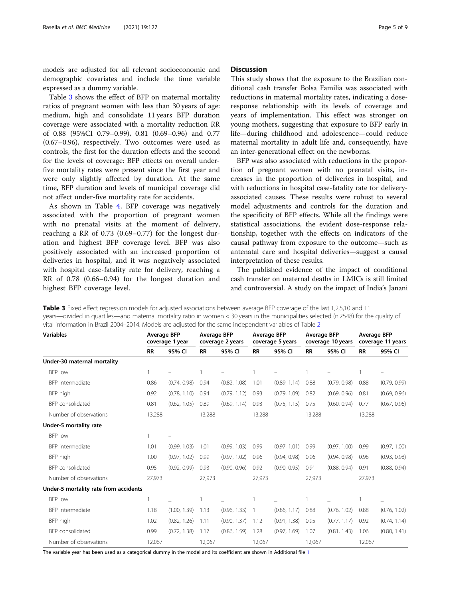models are adjusted for all relevant socioeconomic and demographic covariates and include the time variable expressed as a dummy variable.

Table 3 shows the effect of BFP on maternal mortality ratios of pregnant women with less than 30 years of age: medium, high and consolidate 11 years BFP duration coverage were associated with a mortality reduction RR of 0.88 (95%CI 0.79–0.99), 0.81 (0.69–0.96) and 0.77 (0.67–0.96), respectively. Two outcomes were used as controls, the first for the duration effects and the second for the levels of coverage: BFP effects on overall underfive mortality rates were present since the first year and were only slightly affected by duration. At the same time, BFP duration and levels of municipal coverage did not affect under-five mortality rate for accidents.

As shown in Table [4,](#page-5-0) BFP coverage was negatively associated with the proportion of pregnant women with no prenatal visits at the moment of delivery, reaching a RR of 0.73 (0.69–0.77) for the longest duration and highest BFP coverage level. BFP was also positively associated with an increased proportion of deliveries in hospital, and it was negatively associated with hospital case-fatality rate for delivery, reaching a RR of 0.78 (0.66–0.94) for the longest duration and highest BFP coverage level.

## **Discussion**

This study shows that the exposure to the Brazilian conditional cash transfer Bolsa Familia was associated with reductions in maternal mortality rates, indicating a doseresponse relationship with its levels of coverage and years of implementation. This effect was stronger on young mothers, suggesting that exposure to BFP early in life—during childhood and adolescence—could reduce maternal mortality in adult life and, consequently, have an inter-generational effect on the newborns.

BFP was also associated with reductions in the proportion of pregnant women with no prenatal visits, increases in the proportion of deliveries in hospital, and with reductions in hospital case-fatality rate for deliveryassociated causes. These results were robust to several model adjustments and controls for the duration and the specificity of BFP effects. While all the findings were statistical associations, the evident dose-response relationship, together with the effects on indicators of the causal pathway from exposure to the outcome—such as antenatal care and hospital deliveries—suggest a causal interpretation of these results.

The published evidence of the impact of conditional cash transfer on maternal deaths in LMICs is still limited and controversial. A study on the impact of India's Janani

Table 3 Fixed effect regression models for adjusted associations between average BFP coverage of the last 1,2,5,10 and 11 years—divided in quartiles—and maternal mortality ratio in women < 30 years in the municipalities selected (n.2548) for the quality of vital information in Brazil 2004–2014. Models are adjusted for the same independent variables of Table [2](#page-3-0)

| <b>Variables</b>                      | <b>Average BFP</b><br>coverage 1 year |              | <b>Average BFP</b><br>coverage 2 years |              | <b>Average BFP</b><br>coverage 5 years |              | <b>Average BFP</b><br>coverage 10 years |              | <b>Average BFP</b><br>coverage 11 years |              |
|---------------------------------------|---------------------------------------|--------------|----------------------------------------|--------------|----------------------------------------|--------------|-----------------------------------------|--------------|-----------------------------------------|--------------|
|                                       | <b>RR</b>                             | 95% CI       | <b>RR</b>                              | 95% CI       | <b>RR</b>                              | 95% CI       | <b>RR</b>                               | 95% CI       | <b>RR</b>                               | 95% CI       |
| Under-30 maternal mortality           |                                       |              |                                        |              |                                        |              |                                         |              |                                         |              |
| BFP low                               |                                       |              |                                        |              |                                        |              | $\mathbf{1}$                            |              |                                         |              |
| BFP intermediate                      | 0.86                                  | (0.74, 0.98) | 0.94                                   | (0.82, 1.08) | 1.01                                   | (0.89, 1.14) | 0.88                                    | (0.79, 0.98) | 0.88                                    | (0.79, 0.99) |
| BFP high                              | 0.92                                  | (0.78, 1.10) | 0.94                                   | (0.79, 1.12) | 0.93                                   | (0.79, 1.09) | 0.82                                    | (0.69, 0.96) | 0.81                                    | (0.69, 0.96) |
| BFP consolidated                      | 0.81                                  | (0.62, 1.05) | 0.89                                   | (0.69, 1.14) | 0.93                                   | (0.75, 1.15) | 0.75                                    | (0.60, 0.94) | 0.77                                    | (0.67, 0.96) |
| Number of observations                | 13,288                                |              | 13,288                                 |              | 13,288                                 |              | 13,288                                  |              | 13,288                                  |              |
| Under-5 mortality rate                |                                       |              |                                        |              |                                        |              |                                         |              |                                         |              |
| BFP low                               |                                       |              |                                        |              |                                        |              |                                         |              |                                         |              |
| BFP intermediate                      | 1.01                                  | (0.99, 1.03) | 1.01                                   | (0.99, 1.03) | 0.99                                   | (0.97, 1.01) | 0.99                                    | (0.97, 1.00) | 0.99                                    | (0.97, 1.00) |
| BFP high                              | 1.00                                  | (0.97, 1.02) | 0.99                                   | (0.97, 1.02) | 0.96                                   | (0.94, 0.98) | 0.96                                    | (0.94, 0.98) | 0.96                                    | (0.93, 0.98) |
| BFP consolidated                      | 0.95                                  | (0.92, 0.99) | 0.93                                   | (0.90, 0.96) | 0.92                                   | (0.90, 0.95) | 0.91                                    | (0.88, 0.94) | 0.91                                    | (0.88, 0.94) |
| Number of observations                | 27,973                                |              | 27,973                                 |              | 27,973                                 |              | 27,973                                  |              | 27,973                                  |              |
| Under-5 mortality rate from accidents |                                       |              |                                        |              |                                        |              |                                         |              |                                         |              |
| BFP low                               |                                       |              |                                        |              |                                        |              |                                         |              |                                         |              |
| BFP intermediate                      | 1.18                                  | (1.00, 1.39) | 1.13                                   | (0.96, 1.33) |                                        | (0.86, 1.17) | 0.88                                    | (0.76, 1.02) | 0.88                                    | (0.76, 1.02) |
| BFP high                              | 1.02                                  | (0.82, 1.26) | 1.11                                   | (0.90, 1.37) | 1.12                                   | (0.91, 1.38) | 0.95                                    | (0.77, 1.17) | 0.92                                    | (0.74, 1.14) |
| BFP consolidated                      | 0.99                                  | (0.72, 1.38) | 1.17                                   | (0.86, 1.59) | 1.28                                   | (0.97, 1.69) | 1.07                                    | (0.81, 1.43) | 1.06                                    | (0.80, 1.41) |
| Number of observations                | 12,067                                |              | 12,067                                 |              | 12,067                                 |              | 12,067                                  |              | 12,067                                  |              |

The variable year has been used as a categorical dummy in the model and its coefficient are shown in Additional file [1](#page-7-0)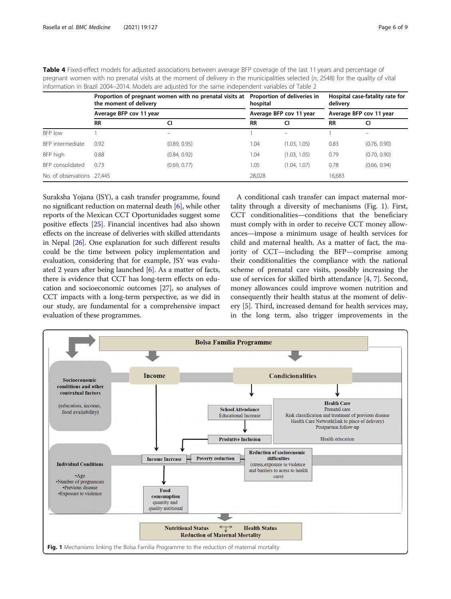|                            | Proportion of pregnant women with no prenatal visits at<br>the moment of delivery<br>hospital<br>Average BFP cov 11 year |              |           | Proportion of deliveries in | Hospital case-fatality rate for<br>delivery<br>Average BFP cov 11 year |                          |  |
|----------------------------|--------------------------------------------------------------------------------------------------------------------------|--------------|-----------|-----------------------------|------------------------------------------------------------------------|--------------------------|--|
|                            |                                                                                                                          |              |           | Average BFP cov 11 year     |                                                                        |                          |  |
|                            | <b>RR</b>                                                                                                                | CI           | <b>RR</b> | CI                          | <b>RR</b>                                                              |                          |  |
| BFP low                    |                                                                                                                          |              |           |                             |                                                                        | $\overline{\phantom{0}}$ |  |
| BFP intermediate           | 0.92                                                                                                                     | (0.89, 0.95) | 1.04      | (1.03, 1.05)                | 0.83                                                                   | (0.76, 0.90)             |  |
| BFP high                   | 0.88                                                                                                                     | (0.84, 0.92) | 1.04      | (1.03, 1.05)                | 0.79                                                                   | (0.70, 0.90)             |  |
| BFP consolidated           | 0.73                                                                                                                     | (0.69, 0.77) | 1.05      | (1.04, 1.07)                | 0.78                                                                   | (0.66, 0.94)             |  |
| No. of observations 27,445 |                                                                                                                          |              | 28,028    |                             | 16,683                                                                 |                          |  |

<span id="page-5-0"></span>Table 4 Fixed-effect models for adjusted associations between average BFP coverage of the last 11 years and percentage of pregnant women with no prenatal visits at the moment of delivery in the municipalities selected (n, 2548) for the quality of vital information in Brazil 2004–2014. Models are adjusted for the same independent variables of Table [2](#page-3-0)

Suraksha Yojana (JSY), a cash transfer programme, found no significant reduction on maternal death [[6\]](#page-7-0), while other reports of the Mexican CCT Oportunidades suggest some positive effects [[25](#page-8-0)]. Financial incentives had also shown effects on the increase of deliveries with skilled attendants in Nepal [\[26\]](#page-8-0). One explanation for such different results could be the time between policy implementation and evaluation, considering that for example, JSY was evaluated 2 years after being launched  $[6]$ . As a matter of facts, there is evidence that CCT has long-term effects on education and socioeconomic outcomes [\[27\]](#page-8-0), so analyses of CCT impacts with a long-term perspective, as we did in our study, are fundamental for a comprehensive impact evaluation of these programmes.

A conditional cash transfer can impact maternal mortality through a diversity of mechanisms (Fig. 1). First, CCT conditionalities—conditions that the beneficiary must comply with in order to receive CCT money allowances—impose a minimum usage of health services for child and maternal health. As a matter of fact, the majority of CCT—including the BFP—comprise among their conditionalities the compliance with the national scheme of prenatal care visits, possibly increasing the use of services for skilled birth attendance [[4,](#page-7-0) [7\]](#page-7-0). Second, money allowances could improve women nutrition and consequently their health status at the moment of delivery [\[5](#page-7-0)]. Third, increased demand for health services may, in the long term, also trigger improvements in the

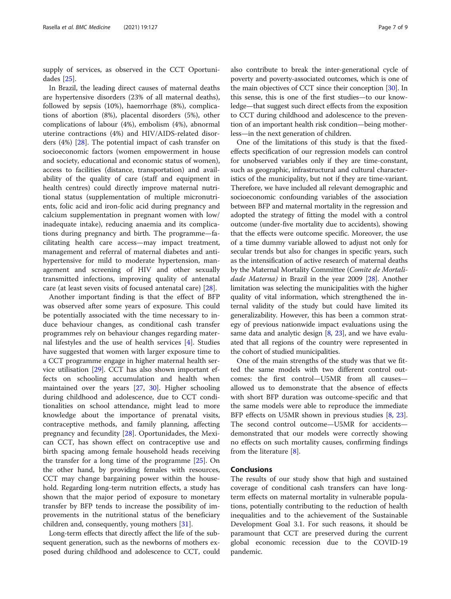supply of services, as observed in the CCT Oportunidades [[25\]](#page-8-0).

In Brazil, the leading direct causes of maternal deaths are hypertensive disorders (23% of all maternal deaths), followed by sepsis (10%), haemorrhage (8%), complications of abortion (8%), placental disorders (5%), other complications of labour (4%), embolism (4%), abnormal uterine contractions (4%) and HIV/AIDS-related disorders (4%) [\[28](#page-8-0)]. The potential impact of cash transfer on socioeconomic factors (women empowerment in house and society, educational and economic status of women), access to facilities (distance, transportation) and availability of the quality of care (staff and equipment in health centres) could directly improve maternal nutritional status (supplementation of multiple micronutrients, folic acid and iron-folic acid during pregnancy and calcium supplementation in pregnant women with low/ inadequate intake), reducing anaemia and its complications during pregnancy and birth. The programme—facilitating health care access—may impact treatment, management and referral of maternal diabetes and antihypertensive for mild to moderate hypertension, management and screening of HIV and other sexually transmitted infections, improving quality of antenatal care (at least seven visits of focused antenatal care) [[28](#page-8-0)].

Another important finding is that the effect of BFP was observed after some years of exposure. This could be potentially associated with the time necessary to induce behaviour changes, as conditional cash transfer programmes rely on behaviour changes regarding maternal lifestyles and the use of health services [[4\]](#page-7-0). Studies have suggested that women with larger exposure time to a CCT programme engage in higher maternal health service utilisation [\[29](#page-8-0)]. CCT has also shown important effects on schooling accumulation and health when maintained over the years [\[27](#page-8-0), [30\]](#page-8-0). Higher schooling during childhood and adolescence, due to CCT conditionalities on school attendance, might lead to more knowledge about the importance of prenatal visits, contraceptive methods, and family planning, affecting pregnancy and fecundity [[28\]](#page-8-0). Oportunidades, the Mexican CCT, has shown effect on contraceptive use and birth spacing among female household heads receiving the transfer for a long time of the programme [[25](#page-8-0)]. On the other hand, by providing females with resources, CCT may change bargaining power within the household. Regarding long-term nutrition effects, a study has shown that the major period of exposure to monetary transfer by BFP tends to increase the possibility of improvements in the nutritional status of the beneficiary children and, consequently, young mothers [[31](#page-8-0)].

Long-term effects that directly affect the life of the subsequent generation, such as the newborns of mothers exposed during childhood and adolescence to CCT, could

also contribute to break the inter-generational cycle of poverty and poverty-associated outcomes, which is one of the main objectives of CCT since their conception [\[30](#page-8-0)]. In this sense, this is one of the first studies—to our knowledge—that suggest such direct effects from the exposition to CCT during childhood and adolescence to the prevention of an important health risk condition—being motherless—in the next generation of children.

One of the limitations of this study is that the fixedeffects specification of our regression models can control for unobserved variables only if they are time-constant, such as geographic, infrastructural and cultural characteristics of the municipality, but not if they are time-variant. Therefore, we have included all relevant demographic and socioeconomic confounding variables of the association between BFP and maternal mortality in the regression and adopted the strategy of fitting the model with a control outcome (under-five mortality due to accidents), showing that the effects were outcome specific. Moreover, the use of a time dummy variable allowed to adjust not only for secular trends but also for changes in specific years, such as the intensification of active research of maternal deaths by the Maternal Mortality Committee (Comite de Mortali-dade Materna) in Brazil in the year 2009 [\[28\]](#page-8-0). Another limitation was selecting the municipalities with the higher quality of vital information, which strengthened the internal validity of the study but could have limited its generalizability. However, this has been a common strategy of previous nationwide impact evaluations using the same data and analytic design [\[8](#page-7-0), [23](#page-8-0)], and we have evaluated that all regions of the country were represented in the cohort of studied municipalities.

One of the main strengths of the study was that we fitted the same models with two different control outcomes: the first control—U5MR from all causes allowed us to demonstrate that the absence of effects with short BFP duration was outcome-specific and that the same models were able to reproduce the immediate BFP effects on U5MR shown in previous studies [[8,](#page-7-0) [23](#page-8-0)]. The second control outcome—U5MR for accidents demonstrated that our models were correctly showing no effects on such mortality causes, confirming findings from the literature [[8\]](#page-7-0).

## Conclusions

The results of our study show that high and sustained coverage of conditional cash transfers can have longterm effects on maternal mortality in vulnerable populations, potentially contributing to the reduction of health inequalities and to the achievement of the Sustainable Development Goal 3.1. For such reasons, it should be paramount that CCT are preserved during the current global economic recession due to the COVID-19 pandemic.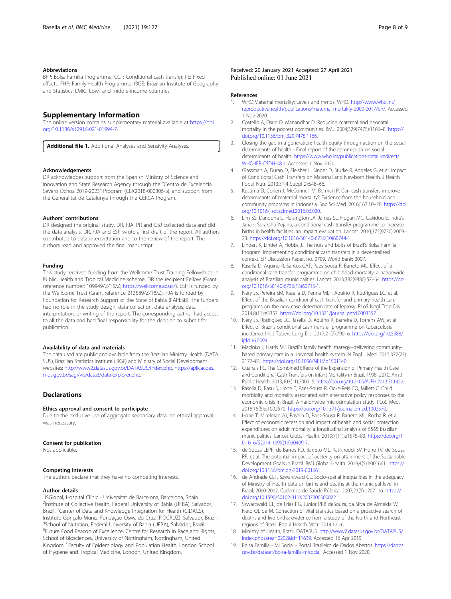#### <span id="page-7-0"></span>Abbreviations

BFP: Bolsa Familia Programme; CCT: Conditional cash transfer; FE: Fixed effects; FHP: Family Health Programme; IBGE: Brazilian Institute of Geography and Statistics; LMIC: Low- and middle-income countries

### Supplementary Information

The online version contains supplementary material available at [https://doi.](https://doi.org/10.1186/s12916-021-01994-7) [org/10.1186/s12916-021-01994-7.](https://doi.org/10.1186/s12916-021-01994-7)

Additional file 1. Additional Analyses and Sensivity Analyses.

#### Acknowledgements

DR acknowledges support from the Spanish Ministry of Science and Innovation and State Research Agency through the "Centro de Excelencia Severo Ochoa 2019-2023" Program (CEX2018-000806-S), and support from the Generalitat de Catalunya through the CERCA Program.

#### Authors' contributions

DR designed the original study. DR, FJA, PR and GSJ collected data and did the data analysis. DR, FJA and ESP wrote a first draft of the report. All authors contributed to data interpretation and to the review of the report. The authors read and approved the final manuscript.

#### Funding

This study received funding from the Wellcome Trust Training Fellowships in Public Health and Tropical Medicine scheme, DR the recipient Fellow (Grant reference number: 109949/Z/15/Z; [https://wellcome.ac.uk/\)](https://wellcome.ac.uk/),). ESP is funded by the Wellcome Trust (Grant reference 213589/Z/18/Z). FJA is funded by Foundation for Research Support of the State of Bahia (FAPESB). The funders had no role in the study design, data collection, data analysis, data interpretation, or writing of the report. The corresponding author had access to all the data and had final responsibility for the decision to submit for publication.

#### Availability of data and materials

The data used are public and available from the Brazilian Ministry Health (DATA SUS), Brazilian Statistics Institute (IBGE) and Ministry of Social Development websites: <http://www2.datasus.gov.br/DATASUS/index.php>, [https://aplicacoes.](https://aplicacoes.mds.gov.br/sagi/vis/data3/data-explorer.php) [mds.gov.br/sagi/vis/data3/data-explorer.php](https://aplicacoes.mds.gov.br/sagi/vis/data3/data-explorer.php).

### **Declarations**

#### Ethics approval and consent to participate

Due to the exclusive use of aggregate secondary data, no ethical approval was necessary.

#### Consent for publication

Not applicable.

#### Competing interests

The authors declare that they have no competing interests.

#### Author details

<sup>1</sup>ISGlobal, Hospital Clínic - Universitat de Barcelona, Barcelona, Spain. <sup>2</sup>Institute of Collective Health, Federal University of Bahia (UFBA), Salvador, Brazil. <sup>3</sup>Center of Data and Knowledge Integration for Health (CIDACS), Instituto Gonçalo Muniz, Fundação Oswaldo Cruz (FIOCRUZ), Salvador, Brazil. 4 School of Nutrition, Federal University of Bahia (UFBA), Salvador, Brazil. <sup>5</sup>Future Food Beacon of Excellence, Centre for Research in Race and Rights, School of Biosciences, University of Nottingham, Nottingham, United Kingdom. <sup>6</sup> Faculty of Epidemiology and Population Health, London School of Hygiene and Tropical Medicine, London, United Kingdom.

#### References

- 1. WHO|Maternal mortality: Levels and trends. WHO. [http://www.who.int/](http://www.who.int/reproductivehealth/publications/maternal-mortality-2000-2017/en/) [reproductivehealth/publications/maternal-mortality-2000-2017/en/.](http://www.who.int/reproductivehealth/publications/maternal-mortality-2000-2017/en/) Accessed 1 Nov 2020.
- 2. Costello A, Osrin D, Manandhar D. Reducing maternal and neonatal mortality in the poorest communities. BMJ. 2004;329(7475):1166–8. [https://](https://doi.org/10.1136/bmj.329.7475.1166) [doi.org/10.1136/bmj.329.7475.1166.](https://doi.org/10.1136/bmj.329.7475.1166)
- 3. Closing the gap in a generation: health equity through action on the social determinants of health - Final report of the commission on social determinants of health. [https://www.who.int/publications-detail-redirect/](https://www.who.int/publications-detail-redirect/WHO-IER-CSDH-08.1) [WHO-IER-CSDH-08.1](https://www.who.int/publications-detail-redirect/WHO-IER-CSDH-08.1). Accessed 1 Nov 2020.
- 4. Glassman A, Duran D, Fleisher L, Singer D, Sturke R, Angeles G, et al. Impact of Conditional Cash Transfers on Maternal and Newborn Health. J Health Popul Nutr. 2013;31(4 Suppl 2):S48–66.
- 5. Kusuma D, Cohen J, McConnell M, Berman P. Can cash transfers improve determinants of maternal mortality? Evidence from the household and community programs in Indonesia. Soc Sci Med. 2016;163:10–20. [https://doi.](https://doi.org/10.1016/j.socscimed.2016.06.020) [org/10.1016/j.socscimed.2016.06.020.](https://doi.org/10.1016/j.socscimed.2016.06.020)
- 6. Lim SS, Dandona L, Hoisington JA, James SL, Hogan MC, Gakidou E. India's Janani Suraksha Yojana, a conditional cash transfer programme to increase births in health facilities: an impact evaluation. Lancet. 2010;375(9730):2009– 23. [https://doi.org/10.1016/S0140-6736\(10\)60744-1.](https://doi.org/10.1016/S0140-6736(10)60744-1)
- 7. Lindert K, Linder A, Hobbs J. The nuts and bolts of Brazil's Bolsa Família Program: implementing conditional cash transfers in a decentralised context. SP Discussion Paper, no. 0709. World Bank; 2007.
- Rasella D, Aquino R, Santos CAT, Paes-Sousa R, Barreto ML. Effect of a conditional cash transfer programme on childhood mortality: a nationwide analysis of Brazilian municipalities. Lancet. 2013;382(9886):57–64. [https://doi.](https://doi.org/10.1016/S0140-6736(13)60715-1) [org/10.1016/S0140-6736\(13\)60715-1.](https://doi.org/10.1016/S0140-6736(13)60715-1)
- 9. Nery JS, Pereira SM, Rasella D, Penna MLF, Aquino R, Rodrigues LC, et al. Effect of the Brazilian conditional cash transfer and primary health care programs on the new case detection rate of leprosy. PLoS Negl Trop Dis. 2014;8(11):e3357. [https://doi.org/10.1371/journal.pntd.0003357.](https://doi.org/10.1371/journal.pntd.0003357)
- 10. Nery JS, Rodrigues LC, Rasella D, Aquino R, Barreira D, Torrens AW, et al. Effect of Brazil's conditional cash transfer programme on tuberculosis incidence. Int J Tuberc Lung Dis. 2017;21(7):790–6. [https://doi.org/10.5588/](https://doi.org/10.5588/ijtld.16.0599) iitld.16.0599.
- 11. Macinko J, Harris MJ. Brazil's family health strategy--delivering communitybased primary care in a universal health system. N Engl J Med. 2015;372(23): 2177–81. [https://doi.org/10.1056/NEJMp1501140.](https://doi.org/10.1056/NEJMp1501140)
- 12. Guanais FC. The Combined Effects of the Expansion of Primary Health Care and Conditional Cash Transfers on Infant Mortality in Brazil, 1998–2010. Am J Public Health. 2013;103(11):2000–6. [https://doi.org/10.2105/AJPH.2013.301452.](https://doi.org/10.2105/AJPH.2013.301452)
- 13. Rasella D, Basu S, Hone T, Paes-Sousa R, Ocke-Reis CO, Millett C. Child morbidity and mortality associated with alternative policy responses to the economic crisis in Brazil: A nationwide microsimulation study. PLoS Med. 2018;15(5):e1002570. <https://doi.org/10.1371/journal.pmed.1002570>.
- 14. Hone T, Mirelman AJ, Rasella D, Paes-Sousa R, Barreto ML, Rocha R, et al. Effect of economic recession and impact of health and social protection expenditures on adult mortality: a longitudinal analysis of 5565 Brazilian municipalities. Lancet Global Health. 2019;7(11):e1575–83. [https://doi.org/1](https://doi.org/10.1016/S2214-109X(19)30409-7) [0.1016/S2214-109X\(19\)30409-7.](https://doi.org/10.1016/S2214-109X(19)30409-7)
- 15. de Souza LEPF, de Barros RD, Barreto ML, Katikireddi SV, Hone TV, de Sousa RP, et al. The potential impact of austerity on attainment of the Sustainable Development Goals in Brazil. BMJ Global Health. 2019;4(5):e001661. [https://](https://doi.org/10.1136/bmjgh-2019-001661) [doi.org/10.1136/bmjgh-2019-001661](https://doi.org/10.1136/bmjgh-2019-001661).
- 16. de Andrade CLT, Szwarcwald CL. Socio-spatial inequalities in the adequacy of Ministry of Health data on births and deaths at the municipal level in Brazil, 2000-2002. Cadernos de Saúde Pública. 2007;23(5):1207–16. [https://](https://doi.org/10.1590/S0102-311X2007000500022) [doi.org/10.1590/S0102-311X2007000500022.](https://doi.org/10.1590/S0102-311X2007000500022)
- 17. Szwarcwald CL, de Frias PG, Júnior PRB deSouza, da Silva de Almeida W, Neto OL de M. Correction of vital statistics based on a proactive search of deaths and live births: evidence from a study of the North and Northeast regions of Brazil. Popul Health Metr. 2014;12:16.
- 18. Ministry of Health, Brazil. DATASUS. [http://www2.datasus.gov.br/DATASUS/](http://www2.datasus.gov.br/DATASUS/index.php?area=0202&id=11639) [index.php?area=0202&id=11639.](http://www2.datasus.gov.br/DATASUS/index.php?area=0202&id=11639) Accessed 16 Apr 2019.
- 19. Bolsa Família MI Social Portal Brasileiro de Dados Abertos. [https://dados.](https://dados.gov.br/dataset/bolsa-familia-misocial) [gov.br/dataset/bolsa-familia-misocial.](https://dados.gov.br/dataset/bolsa-familia-misocial) Accessed 1 Nov 2020.